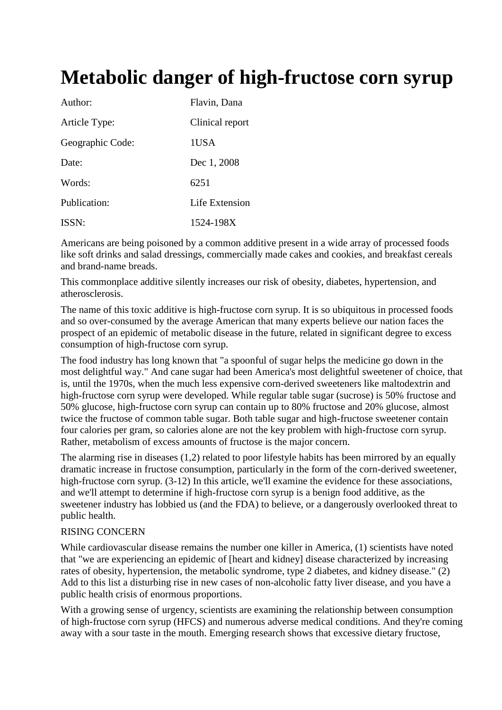# **Metabolic danger of high-fructose corn syrup**

| Author:          | Flavin, Dana    |
|------------------|-----------------|
| Article Type:    | Clinical report |
| Geographic Code: | 1USA            |
| Date:            | Dec 1, 2008     |
| Words:           | 6251            |
| Publication:     | Life Extension  |
| ISSN:            | 1524-198X       |

Americans are being poisoned by a common additive present in a wide array of processed foods like soft drinks and salad dressings, commercially made cakes and cookies, and breakfast cereals and brand-name breads.

This commonplace additive silently increases our risk of obesity, diabetes, hypertension, and atherosclerosis.

The name of this toxic additive is high-fructose corn syrup. It is so ubiquitous in processed foods and so over-consumed by the average American that many experts believe our nation faces the prospect of an epidemic of metabolic disease in the future, related in significant degree to excess consumption of high-fructose corn syrup.

The food industry has long known that "a spoonful of sugar helps the medicine go down in the most delightful way." And cane sugar had been America's most delightful sweetener of choice, that is, until the 1970s, when the much less expensive corn-derived sweeteners like maltodextrin and high-fructose corn syrup were developed. While regular table sugar (sucrose) is 50% fructose and 50% glucose, high-fructose corn syrup can contain up to 80% fructose and 20% glucose, almost twice the fructose of common table sugar. Both table sugar and high-fructose sweetener contain four calories per gram, so calories alone are not the key problem with high-fructose corn syrup. Rather, metabolism of excess amounts of fructose is the major concern.

The alarming rise in diseases (1,2) related to poor lifestyle habits has been mirrored by an equally dramatic increase in fructose consumption, particularly in the form of the corn-derived sweetener, high-fructose corn syrup. (3-12) In this article, we'll examine the evidence for these associations, and we'll attempt to determine if high-fructose corn syrup is a benign food additive, as the sweetener industry has lobbied us (and the FDA) to believe, or a dangerously overlooked threat to public health.

#### RISING CONCERN

While cardiovascular disease remains the number one killer in America, (1) scientists have noted that "we are experiencing an epidemic of [heart and kidney] disease characterized by increasing rates of obesity, hypertension, the metabolic syndrome, type 2 diabetes, and kidney disease." (2) Add to this list a disturbing rise in new cases of non-alcoholic fatty liver disease, and you have a public health crisis of enormous proportions.

With a growing sense of urgency, scientists are examining the relationship between consumption of high-fructose corn syrup (HFCS) and numerous adverse medical conditions. And they're coming away with a sour taste in the mouth. Emerging research shows that excessive dietary fructose,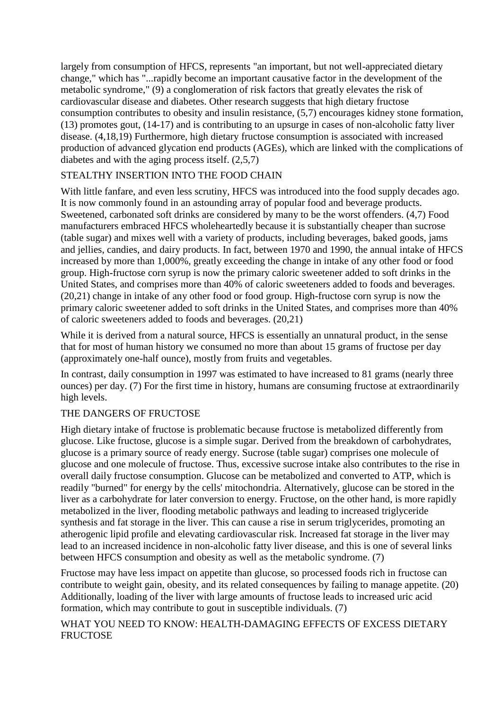largely from consumption of HFCS, represents "an important, but not well-appreciated dietary change," which has "...rapidly become an important causative factor in the development of the metabolic syndrome," (9) a conglomeration of risk factors that greatly elevates the risk of cardiovascular disease and diabetes. Other research suggests that high dietary fructose consumption contributes to obesity and insulin resistance, (5,7) encourages kidney stone formation, (13) promotes gout, (14-17) and is contributing to an upsurge in cases of non-alcoholic fatty liver disease. (4,18,19) Furthermore, high dietary fructose consumption is associated with increased production of advanced glycation end products (AGEs), which are linked with the complications of diabetes and with the aging process itself. (2,5,7)

# STEALTHY INSERTION INTO THE FOOD CHAIN

With little fanfare, and even less scrutiny, HFCS was introduced into the food supply decades ago. It is now commonly found in an astounding array of popular food and beverage products. Sweetened, carbonated soft drinks are considered by many to be the worst offenders. (4,7) Food manufacturers embraced HFCS wholeheartedly because it is substantially cheaper than sucrose (table sugar) and mixes well with a variety of products, including beverages, baked goods, jams and jellies, candies, and dairy products. In fact, between 1970 and 1990, the annual intake of HFCS increased by more than 1,000%, greatly exceeding the change in intake of any other food or food group. High-fructose corn syrup is now the primary caloric sweetener added to soft drinks in the United States, and comprises more than 40% of caloric sweeteners added to foods and beverages. (20,21) change in intake of any other food or food group. High-fructose corn syrup is now the primary caloric sweetener added to soft drinks in the United States, and comprises more than 40% of caloric sweeteners added to foods and beverages. (20,21)

While it is derived from a natural source, HFCS is essentially an unnatural product, in the sense that for most of human history we consumed no more than about 15 grams of fructose per day (approximately one-half ounce), mostly from fruits and vegetables.

In contrast, daily consumption in 1997 was estimated to have increased to 81 grams (nearly three ounces) per day. (7) For the first time in history, humans are consuming fructose at extraordinarily high levels.

# THE DANGERS OF FRUCTOSE

High dietary intake of fructose is problematic because fructose is metabolized differently from glucose. Like fructose, glucose is a simple sugar. Derived from the breakdown of carbohydrates, glucose is a primary source of ready energy. Sucrose (table sugar) comprises one molecule of glucose and one molecule of fructose. Thus, excessive sucrose intake also contributes to the rise in overall daily fructose consumption. Glucose can be metabolized and converted to ATP, which is readily "burned" for energy by the cells' mitochondria. Alternatively, glucose can be stored in the liver as a carbohydrate for later conversion to energy. Fructose, on the other hand, is more rapidly metabolized in the liver, flooding metabolic pathways and leading to increased triglyceride synthesis and fat storage in the liver. This can cause a rise in serum triglycerides, promoting an atherogenic lipid profile and elevating cardiovascular risk. Increased fat storage in the liver may lead to an increased incidence in non-alcoholic fatty liver disease, and this is one of several links between HFCS consumption and obesity as well as the metabolic syndrome. (7)

Fructose may have less impact on appetite than glucose, so processed foods rich in fructose can contribute to weight gain, obesity, and its related consequences by failing to manage appetite. (20) Additionally, loading of the liver with large amounts of fructose leads to increased uric acid formation, which may contribute to gout in susceptible individuals. (7)

# WHAT YOU NEED TO KNOW: HEALTH-DAMAGING EFFECTS OF EXCESS DIETARY **FRUCTOSE**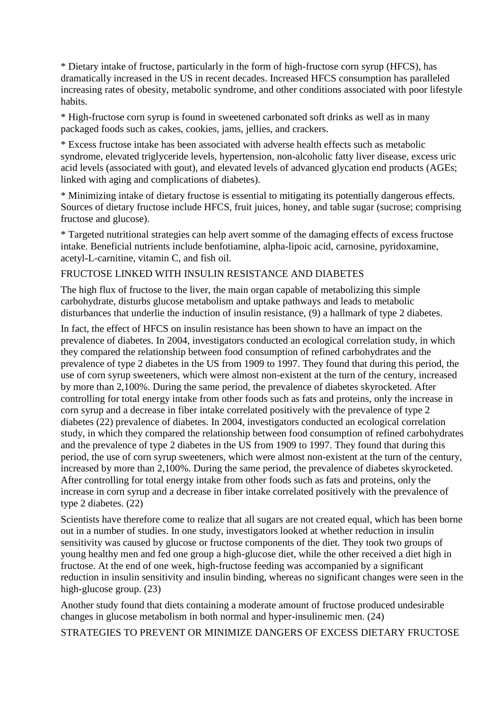\* Dietary intake of fructose, particularly in the form of high-fructose corn syrup (HFCS), has dramatically increased in the US in recent decades. Increased HFCS consumption has paralleled increasing rates of obesity, metabolic syndrome, and other conditions associated with poor lifestyle habits.

\* High-fructose corn syrup is found in sweetened carbonated soft drinks as well as in many packaged foods such as cakes, cookies, jams, jellies, and crackers.

\* Excess fructose intake has been associated with adverse health effects such as metabolic syndrome, elevated triglyceride levels, hypertension, non-alcoholic fatty liver disease, excess uric acid levels (associated with gout), and elevated levels of advanced glycation end products (AGEs; linked with aging and complications of diabetes).

\* Minimizing intake of dietary fructose is essential to mitigating its potentially dangerous effects. Sources of dietary fructose include HFCS, fruit juices, honey, and table sugar (sucrose; comprising fructose and glucose).

\* Targeted nutritional strategies can help avert somme of the damaging effects of excess fructose intake. Beneficial nutrients include benfotiamine, alpha-lipoic acid, carnosine, pyridoxamine, acetyl-L-carnitine, vitamin C, and fish oil.

#### FRUCTOSE LINKED WITH INSULIN RESISTANCE AND DIABETES

The high flux of fructose to the liver, the main organ capable of metabolizing this simple carbohydrate, disturbs glucose metabolism and uptake pathways and leads to metabolic disturbances that underlie the induction of insulin resistance, (9) a hallmark of type 2 diabetes.

In fact, the effect of HFCS on insulin resistance has been shown to have an impact on the prevalence of diabetes. In 2004, investigators conducted an ecological correlation study, in which they compared the relationship between food consumption of refined carbohydrates and the prevalence of type 2 diabetes in the US from 1909 to 1997. They found that during this period, the use of corn syrup sweeteners, which were almost non-existent at the turn of the century, increased by more than 2,100%. During the same period, the prevalence of diabetes skyrocketed. After controlling for total energy intake from other foods such as fats and proteins, only the increase in corn syrup and a decrease in fiber intake correlated positively with the prevalence of type 2 diabetes (22) prevalence of diabetes. In 2004, investigators conducted an ecological correlation study, in which they compared the relationship between food consumption of refined carbohydrates and the prevalence of type 2 diabetes in the US from 1909 to 1997. They found that during this period, the use of corn syrup sweeteners, which were almost non-existent at the turn of the century, increased by more than 2,100%. During the same period, the prevalence of diabetes skyrocketed. After controlling for total energy intake from other foods such as fats and proteins, only the increase in corn syrup and a decrease in fiber intake correlated positively with the prevalence of type 2 diabetes. (22)

Scientists have therefore come to realize that all sugars are not created equal, which has been borne out in a number of studies. In one study, investigators looked at whether reduction in insulin sensitivity was caused by glucose or fructose components of the diet. They took two groups of young healthy men and fed one group a high-glucose diet, while the other received a diet high in fructose. At the end of one week, high-fructose feeding was accompanied by a significant reduction in insulin sensitivity and insulin binding, whereas no significant changes were seen in the high-glucose group. (23)

Another study found that diets containing a moderate amount of fructose produced undesirable changes in glucose metabolism in both normal and hyper-insulinemic men. (24)

STRATEGIES TO PREVENT OR MINIMIZE DANGERS OF EXCESS DIETARY FRUCTOSE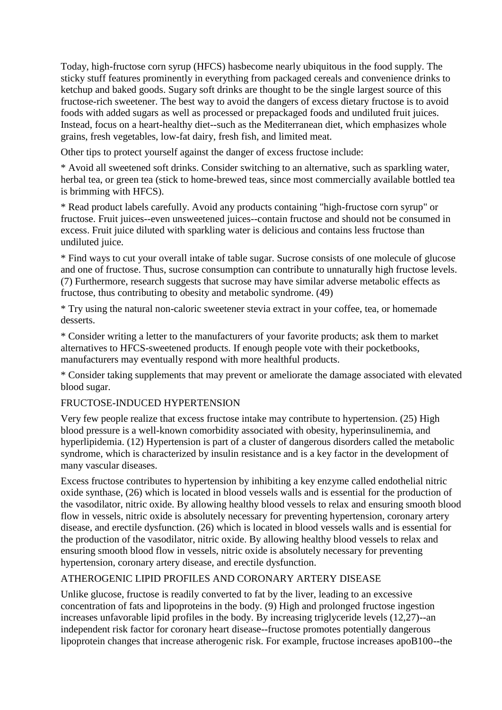Today, high-fructose corn syrup (HFCS) hasbecome nearly ubiquitous in the food supply. The sticky stuff features prominently in everything from packaged cereals and convenience drinks to ketchup and baked goods. Sugary soft drinks are thought to be the single largest source of this fructose-rich sweetener. The best way to avoid the dangers of excess dietary fructose is to avoid foods with added sugars as well as processed or prepackaged foods and undiluted fruit juices. Instead, focus on a heart-healthy diet--such as the Mediterranean diet, which emphasizes whole grains, fresh vegetables, low-fat dairy, fresh fish, and limited meat.

Other tips to protect yourself against the danger of excess fructose include:

\* Avoid all sweetened soft drinks. Consider switching to an alternative, such as sparkling water, herbal tea, or green tea (stick to home-brewed teas, since most commercially available bottled tea is brimming with HFCS).

\* Read product labels carefully. Avoid any products containing "high-fructose corn syrup" or fructose. Fruit juices--even unsweetened juices--contain fructose and should not be consumed in excess. Fruit juice diluted with sparkling water is delicious and contains less fructose than undiluted juice.

\* Find ways to cut your overall intake of table sugar. Sucrose consists of one molecule of glucose and one of fructose. Thus, sucrose consumption can contribute to unnaturally high fructose levels. (7) Furthermore, research suggests that sucrose may have similar adverse metabolic effects as fructose, thus contributing to obesity and metabolic syndrome. (49)

\* Try using the natural non-caloric sweetener stevia extract in your coffee, tea, or homemade desserts.

\* Consider writing a letter to the manufacturers of your favorite products; ask them to market alternatives to HFCS-sweetened products. If enough people vote with their pocketbooks, manufacturers may eventually respond with more healthful products.

\* Consider taking supplements that may prevent or ameliorate the damage associated with elevated blood sugar.

### FRUCTOSE-INDUCED HYPERTENSION

Very few people realize that excess fructose intake may contribute to hypertension. (25) High blood pressure is a well-known comorbidity associated with obesity, hyperinsulinemia, and hyperlipidemia. (12) Hypertension is part of a cluster of dangerous disorders called the metabolic syndrome, which is characterized by insulin resistance and is a key factor in the development of many vascular diseases.

Excess fructose contributes to hypertension by inhibiting a key enzyme called endothelial nitric oxide synthase, (26) which is located in blood vessels walls and is essential for the production of the vasodilator, nitric oxide. By allowing healthy blood vessels to relax and ensuring smooth blood flow in vessels, nitric oxide is absolutely necessary for preventing hypertension, coronary artery disease, and erectile dysfunction. (26) which is located in blood vessels walls and is essential for the production of the vasodilator, nitric oxide. By allowing healthy blood vessels to relax and ensuring smooth blood flow in vessels, nitric oxide is absolutely necessary for preventing hypertension, coronary artery disease, and erectile dysfunction.

### ATHEROGENIC LIPID PROFILES AND CORONARY ARTERY DISEASE

Unlike glucose, fructose is readily converted to fat by the liver, leading to an excessive concentration of fats and lipoproteins in the body. (9) High and prolonged fructose ingestion increases unfavorable lipid profiles in the body. By increasing triglyceride levels (12,27)--an independent risk factor for coronary heart disease--fructose promotes potentially dangerous lipoprotein changes that increase atherogenic risk. For example, fructose increases apoB100--the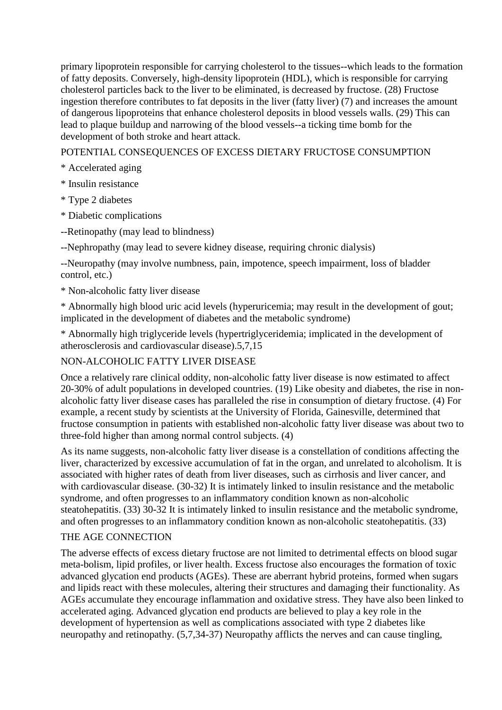primary lipoprotein responsible for carrying cholesterol to the tissues--which leads to the formation of fatty deposits. Conversely, high-density lipoprotein (HDL), which is responsible for carrying cholesterol particles back to the liver to be eliminated, is decreased by fructose. (28) Fructose ingestion therefore contributes to fat deposits in the liver (fatty liver) (7) and increases the amount of dangerous lipoproteins that enhance cholesterol deposits in blood vessels walls. (29) This can lead to plaque buildup and narrowing of the blood vessels--a ticking time bomb for the development of both stroke and heart attack.

POTENTIAL CONSEQUENCES OF EXCESS DIETARY FRUCTOSE CONSUMPTION

- \* Accelerated aging
- \* Insulin resistance
- \* Type 2 diabetes
- \* Diabetic complications
- --Retinopathy (may lead to blindness)
- --Nephropathy (may lead to severe kidney disease, requiring chronic dialysis)

--Neuropathy (may involve numbness, pain, impotence, speech impairment, loss of bladder control, etc.)

\* Non-alcoholic fatty liver disease

\* Abnormally high blood uric acid levels (hyperuricemia; may result in the development of gout; implicated in the development of diabetes and the metabolic syndrome)

\* Abnormally high triglyceride levels (hypertriglyceridemia; implicated in the development of atherosclerosis and cardiovascular disease).5,7,15

# NON-ALCOHOLIC FATTY LIVER DISEASE

Once a relatively rare clinical oddity, non-alcoholic fatty liver disease is now estimated to affect 20-30% of adult populations in developed countries. (19) Like obesity and diabetes, the rise in nonalcoholic fatty liver disease cases has paralleled the rise in consumption of dietary fructose. (4) For example, a recent study by scientists at the University of Florida, Gainesville, determined that fructose consumption in patients with established non-alcoholic fatty liver disease was about two to three-fold higher than among normal control subjects. (4)

As its name suggests, non-alcoholic fatty liver disease is a constellation of conditions affecting the liver, characterized by excessive accumulation of fat in the organ, and unrelated to alcoholism. It is associated with higher rates of death from liver diseases, such as cirrhosis and liver cancer, and with cardiovascular disease. (30-32) It is intimately linked to insulin resistance and the metabolic syndrome, and often progresses to an inflammatory condition known as non-alcoholic steatohepatitis. (33) 30-32 It is intimately linked to insulin resistance and the metabolic syndrome, and often progresses to an inflammatory condition known as non-alcoholic steatohepatitis. (33)

# THE AGE CONNECTION

The adverse effects of excess dietary fructose are not limited to detrimental effects on blood sugar meta-bolism, lipid profiles, or liver health. Excess fructose also encourages the formation of toxic advanced glycation end products (AGEs). These are aberrant hybrid proteins, formed when sugars and lipids react with these molecules, altering their structures and damaging their functionality. As AGEs accumulate they encourage inflammation and oxidative stress. They have also been linked to accelerated aging. Advanced glycation end products are believed to play a key role in the development of hypertension as well as complications associated with type 2 diabetes like neuropathy and retinopathy. (5,7,34-37) Neuropathy afflicts the nerves and can cause tingling,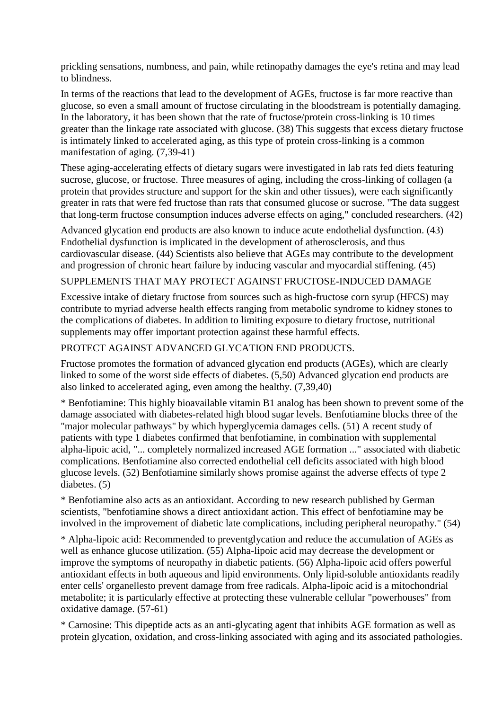prickling sensations, numbness, and pain, while retinopathy damages the eye's retina and may lead to blindness.

In terms of the reactions that lead to the development of AGEs, fructose is far more reactive than glucose, so even a small amount of fructose circulating in the bloodstream is potentially damaging. In the laboratory, it has been shown that the rate of fructose/protein cross-linking is 10 times greater than the linkage rate associated with glucose. (38) This suggests that excess dietary fructose is intimately linked to accelerated aging, as this type of protein cross-linking is a common manifestation of aging. (7,39-41)

These aging-accelerating effects of dietary sugars were investigated in lab rats fed diets featuring sucrose, glucose, or fructose. Three measures of aging, including the cross-linking of collagen (a protein that provides structure and support for the skin and other tissues), were each significantly greater in rats that were fed fructose than rats that consumed glucose or sucrose. "The data suggest that long-term fructose consumption induces adverse effects on aging," concluded researchers. (42)

Advanced glycation end products are also known to induce acute endothelial dysfunction. (43) Endothelial dysfunction is implicated in the development of atherosclerosis, and thus cardiovascular disease. (44) Scientists also believe that AGEs may contribute to the development and progression of chronic heart failure by inducing vascular and myocardial stiffening. (45)

## SUPPLEMENTS THAT MAY PROTECT AGAINST FRUCTOSE-INDUCED DAMAGE

Excessive intake of dietary fructose from sources such as high-fructose corn syrup (HFCS) may contribute to myriad adverse health effects ranging from metabolic syndrome to kidney stones to the complications of diabetes. In addition to limiting exposure to dietary fructose, nutritional supplements may offer important protection against these harmful effects.

### PROTECT AGAINST ADVANCED GLYCATION END PRODUCTS.

Fructose promotes the formation of advanced glycation end products (AGEs), which are clearly linked to some of the worst side effects of diabetes. (5,50) Advanced glycation end products are also linked to accelerated aging, even among the healthy. (7,39,40)

\* Benfotiamine: This highly bioavailable vitamin B1 analog has been shown to prevent some of the damage associated with diabetes-related high blood sugar levels. Benfotiamine blocks three of the "major molecular pathways" by which hyperglycemia damages cells. (51) A recent study of patients with type 1 diabetes confirmed that benfotiamine, in combination with supplemental alpha-lipoic acid, "... completely normalized increased AGE formation ..." associated with diabetic complications. Benfotiamine also corrected endothelial cell deficits associated with high blood glucose levels. (52) Benfotiamine similarly shows promise against the adverse effects of type 2 diabetes. (5)

\* Benfotiamine also acts as an antioxidant. According to new research published by German scientists, "benfotiamine shows a direct antioxidant action. This effect of benfotiamine may be involved in the improvement of diabetic late complications, including peripheral neuropathy." (54)

\* Alpha-lipoic acid: Recommended to preventglycation and reduce the accumulation of AGEs as well as enhance glucose utilization. (55) Alpha-lipoic acid may decrease the development or improve the symptoms of neuropathy in diabetic patients. (56) Alpha-lipoic acid offers powerful antioxidant effects in both aqueous and lipid environments. Only lipid-soluble antioxidants readily enter cells' organellesto prevent damage from free radicals. Alpha-lipoic acid is a mitochondrial metabolite; it is particularly effective at protecting these vulnerable cellular "powerhouses" from oxidative damage. (57-61)

\* Carnosine: This dipeptide acts as an anti-glycating agent that inhibits AGE formation as well as protein glycation, oxidation, and cross-linking associated with aging and its associated pathologies.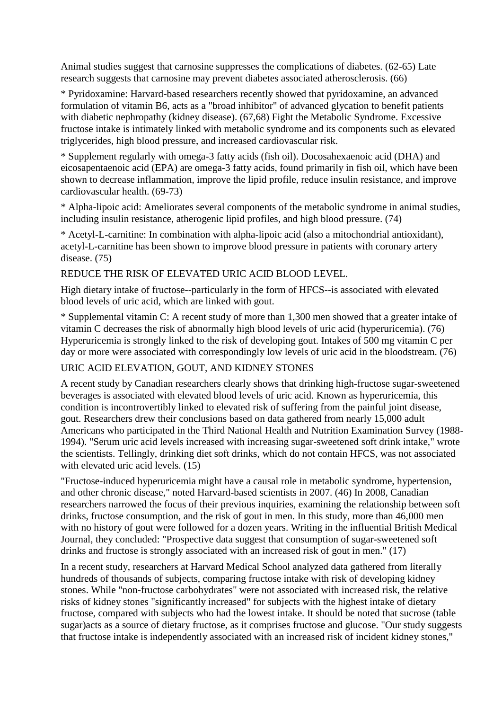Animal studies suggest that carnosine suppresses the complications of diabetes. (62-65) Late research suggests that carnosine may prevent diabetes associated atherosclerosis. (66)

\* Pyridoxamine: Harvard-based researchers recently showed that pyridoxamine, an advanced formulation of vitamin B6, acts as a "broad inhibitor" of advanced glycation to benefit patients with diabetic nephropathy (kidney disease). (67,68) Fight the Metabolic Syndrome. Excessive fructose intake is intimately linked with metabolic syndrome and its components such as elevated triglycerides, high blood pressure, and increased cardiovascular risk.

\* Supplement regularly with omega-3 fatty acids (fish oil). Docosahexaenoic acid (DHA) and eicosapentaenoic acid (EPA) are omega-3 fatty acids, found primarily in fish oil, which have been shown to decrease inflammation, improve the lipid profile, reduce insulin resistance, and improve cardiovascular health. (69-73)

\* Alpha-lipoic acid: Ameliorates several components of the metabolic syndrome in animal studies, including insulin resistance, atherogenic lipid profiles, and high blood pressure. (74)

\* Acetyl-L-carnitine: In combination with alpha-lipoic acid (also a mitochondrial antioxidant), acetyl-L-carnitine has been shown to improve blood pressure in patients with coronary artery disease. (75)

### REDUCE THE RISK OF ELEVATED URIC ACID BLOOD LEVEL.

High dietary intake of fructose--particularly in the form of HFCS--is associated with elevated blood levels of uric acid, which are linked with gout.

\* Supplemental vitamin C: A recent study of more than 1,300 men showed that a greater intake of vitamin C decreases the risk of abnormally high blood levels of uric acid (hyperuricemia). (76) Hyperuricemia is strongly linked to the risk of developing gout. Intakes of 500 mg vitamin C per day or more were associated with correspondingly low levels of uric acid in the bloodstream. (76)

# URIC ACID ELEVATION, GOUT, AND KIDNEY STONES

A recent study by Canadian researchers clearly shows that drinking high-fructose sugar-sweetened beverages is associated with elevated blood levels of uric acid. Known as hyperuricemia, this condition is incontrovertibly linked to elevated risk of suffering from the painful joint disease, gout. Researchers drew their conclusions based on data gathered from nearly 15,000 adult Americans who participated in the Third National Health and Nutrition Examination Survey (1988- 1994). "Serum uric acid levels increased with increasing sugar-sweetened soft drink intake," wrote the scientists. Tellingly, drinking diet soft drinks, which do not contain HFCS, was not associated with elevated uric acid levels.  $(15)$ 

"Fructose-induced hyperuricemia might have a causal role in metabolic syndrome, hypertension, and other chronic disease," noted Harvard-based scientists in 2007. (46) In 2008, Canadian researchers narrowed the focus of their previous inquiries, examining the relationship between soft drinks, fructose consumption, and the risk of gout in men. In this study, more than 46,000 men with no history of gout were followed for a dozen years. Writing in the influential British Medical Journal, they concluded: "Prospective data suggest that consumption of sugar-sweetened soft drinks and fructose is strongly associated with an increased risk of gout in men." (17)

In a recent study, researchers at Harvard Medical School analyzed data gathered from literally hundreds of thousands of subjects, comparing fructose intake with risk of developing kidney stones. While "non-fructose carbohydrates" were not associated with increased risk, the relative risks of kidney stones "significantly increased" for subjects with the highest intake of dietary fructose, compared with subjects who had the lowest intake. It should be noted that sucrose (table sugar)acts as a source of dietary fructose, as it comprises fructose and glucose. "Our study suggests that fructose intake is independently associated with an increased risk of incident kidney stones,"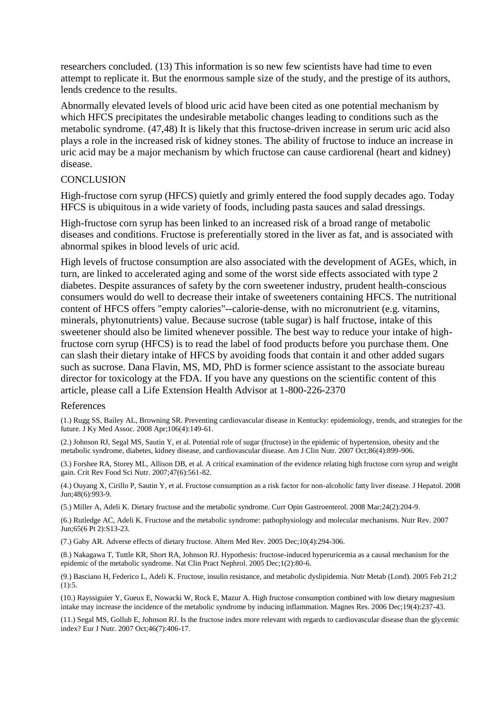researchers concluded. (13) This information is so new few scientists have had time to even attempt to replicate it. But the enormous sample size of the study, and the prestige of its authors, lends credence to the results.

Abnormally elevated levels of blood uric acid have been cited as one potential mechanism by which HFCS precipitates the undesirable metabolic changes leading to conditions such as the metabolic syndrome. (47,48) It is likely that this fructose-driven increase in serum uric acid also plays a role in the increased risk of kidney stones. The ability of fructose to induce an increase in uric acid may be a major mechanism by which fructose can cause cardiorenal (heart and kidney) disease.

#### **CONCLUSION**

High-fructose corn syrup (HFCS) quietly and grimly entered the food supply decades ago. Today HFCS is ubiquitous in a wide variety of foods, including pasta sauces and salad dressings.

High-fructose corn syrup has been linked to an increased risk of a broad range of metabolic diseases and conditions. Fructose is preferentially stored in the liver as fat, and is associated with abnormal spikes in blood levels of uric acid.

High levels of fructose consumption are also associated with the development of AGEs, which, in turn, are linked to accelerated aging and some of the worst side effects associated with type 2 diabetes. Despite assurances of safety by the corn sweetener industry, prudent health-conscious consumers would do well to decrease their intake of sweeteners containing HFCS. The nutritional content of HFCS offers "empty calories"--calorie-dense, with no micronutrient (e.g. vitamins, minerals, phytonutrients) value. Because sucrose (table sugar) is half fructose, intake of this sweetener should also be limited whenever possible. The best way to reduce your intake of highfructose corn syrup (HFCS) is to read the label of food products before you purchase them. One can slash their dietary intake of HFCS by avoiding foods that contain it and other added sugars such as sucrose. Dana Flavin, MS, MD, PhD is former science assistant to the associate bureau director for toxicology at the FDA. If you have any questions on the scientific content of this article, please call a Life Extension Health Advisor at 1-800-226-2370

#### References

(1.) Rugg SS, Bailey AL, Browning SR. Preventing cardiovascular disease in Kentucky: epidemiology, trends, and strategies for the future. J Ky Med Assoc. 2008 Apr;106(4):149-61.

(2.) Johnson RJ, Segal MS, Sautin Y, et al. Potential role of sugar (fructose) in the epidemic of hypertension, obesity and the metabolic syndrome, diabetes, kidney disease, and cardiovascular disease. Am J Clin Nutr. 2007 Oct;86(4):899-906.

(3.) Forshee RA, Storey ML, Allison DB, et al. A critical examination of the evidence relating high fructose corn syrup and weight gain. Crit Rev Food Sci Nutr. 2007;47(6):561-82.

(4.) Ouyang X, Cirillo P, Sautin Y, et al. Fructose consumption as a risk factor for non-alcoholic fatty liver disease. J Hepatol. 2008 Jun;48(6):993-9.

(5.) Miller A, Adeli K. Dietary fructose and the metabolic syndrome. Curr Opin Gastroenterol. 2008 Mar;24(2):204-9.

(6.) Rutledge AC, Adeli K. Fructose and the metabolic syndrome: pathophysiology and molecular mechanisms. Nutr Rev. 2007 Jun;65(6 Pt 2):S13-23.

(7.) Gaby AR. Adverse effects of dietary fructose. Altern Med Rev. 2005 Dec;10(4):294-306.

(8.) Nakagawa T, Tuttle KR, Short RA, Johnson RJ. Hypothesis: fructose-induced hyperuricemia as a causal mechanism for the epidemic of the metabolic syndrome. Nat Clin Pract Nephrol. 2005 Dec;1(2):80-6.

(9.) Basciano H, Federico L, Adeli K. Fructose, insulin resistance, and metabolic dyslipidemia. Nutr Metab (Lond). 2005 Feb 21;2  $(1):5.$ 

(10.) Rayssiguier Y, Gueux E, Nowacki W, Rock E, Mazur A. High fructose consumption combined with low dietary magnesium intake may increase the incidence of the metabolic syndrome by inducing inflammation. Magnes Res. 2006 Dec;19(4):237-43.

(11.) Segal MS, Gollub E, Johnson RJ. Is the fructose index more relevant with regards to cardiovascular disease than the glycemic index? Eur J Nutr. 2007 Oct;46(7):406-17.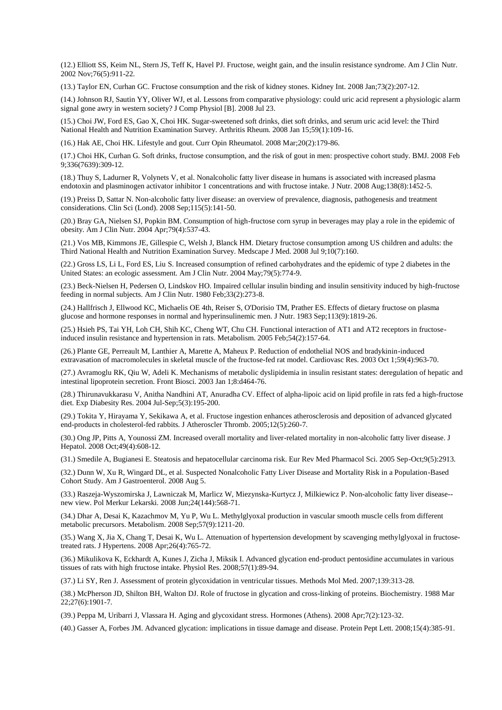(12.) Elliott SS, Keim NL, Stern JS, Teff K, Havel PJ. Fructose, weight gain, and the insulin resistance syndrome. Am J Clin Nutr. 2002 Nov;76(5):911-22.

(13.) Taylor EN, Curhan GC. Fructose consumption and the risk of kidney stones. Kidney Int. 2008 Jan;73(2):207-12.

(14.) Johnson RJ, Sautin YY, Oliver WJ, et al. Lessons from comparative physiology: could uric acid represent a physiologic alarm signal gone awry in western society? J Comp Physiol [B]. 2008 Jul 23.

(15.) Choi JW, Ford ES, Gao X, Choi HK. Sugar-sweetened soft drinks, diet soft drinks, and serum uric acid level: the Third National Health and Nutrition Examination Survey. Arthritis Rheum. 2008 Jan 15;59(1):109-16.

(16.) Hak AE, Choi HK. Lifestyle and gout. Curr Opin Rheumatol. 2008 Mar;20(2):179-86.

(17.) Choi HK, Curhan G. Soft drinks, fructose consumption, and the risk of gout in men: prospective cohort study. BMJ. 2008 Feb 9;336(7639):309-12.

(18.) Thuy S, Ladurner R, Volynets V, et al. Nonalcoholic fatty liver disease in humans is associated with increased plasma endotoxin and plasminogen activator inhibitor 1 concentrations and with fructose intake. J Nutr. 2008 Aug;138(8):1452-5.

(19.) Preiss D, Sattar N. Non-alcoholic fatty liver disease: an overview of prevalence, diagnosis, pathogenesis and treatment considerations. Clin Sci (Lond). 2008 Sep;115(5):141-50.

(20.) Bray GA, Nielsen SJ, Popkin BM. Consumption of high-fructose corn syrup in beverages may play a role in the epidemic of obesity. Am J Clin Nutr. 2004 Apr;79(4):537-43.

(21.) Vos MB, Kimmons JE, Gillespie C, Welsh J, Blanck HM. Dietary fructose consumption among US children and adults: the Third National Health and Nutrition Examination Survey. Medscape J Med. 2008 Jul 9;10(7):160.

(22.) Gross LS, Li L, Ford ES, Liu S. Increased consumption of refined carbohydrates and the epidemic of type 2 diabetes in the United States: an ecologic assessment. Am J Clin Nutr. 2004 May;79(5):774-9.

(23.) Beck-Nielsen H, Pedersen O, Lindskov HO. Impaired cellular insulin binding and insulin sensitivity induced by high-fructose feeding in normal subjects. Am J Clin Nutr. 1980 Feb;33(2):273-8.

(24.) Hallfrisch J, Ellwood KC, Michaelis OE 4th, Reiser S, O'Dorisio TM, Prather ES. Effects of dietary fructose on plasma glucose and hormone responses in normal and hyperinsulinemic men. J Nutr. 1983 Sep;113(9):1819-26.

(25.) Hsieh PS, Tai YH, Loh CH, Shih KC, Cheng WT, Chu CH. Functional interaction of AT1 and AT2 receptors in fructoseinduced insulin resistance and hypertension in rats. Metabolism. 2005 Feb;54(2):157-64.

(26.) Plante GE, Perreault M, Lanthier A, Marette A, Maheux P. Reduction of endothelial NOS and bradykinin-induced extravasation of macromolecules in skeletal muscle of the fructose-fed rat model. Cardiovasc Res. 2003 Oct 1;59(4):963-70.

(27.) Avramoglu RK, Qiu W, Adeli K. Mechanisms of metabolic dyslipidemia in insulin resistant states: deregulation of hepatic and intestinal lipoprotein secretion. Front Biosci. 2003 Jan 1;8:d464-76.

(28.) Thirunavukkarasu V, Anitha Nandhini AT, Anuradha CV. Effect of alpha-lipoic acid on lipid profile in rats fed a high-fructose diet. Exp Diabesity Res. 2004 Jul-Sep;5(3):195-200.

(29.) Tokita Y, Hirayama Y, Sekikawa A, et al. Fructose ingestion enhances atherosclerosis and deposition of advanced glycated end-products in cholesterol-fed rabbits. J Atheroscler Thromb. 2005;12(5):260-7.

(30.) Ong JP, Pitts A, Younossi ZM. Increased overall mortality and liver-related mortality in non-alcoholic fatty liver disease. J Hepatol. 2008 Oct;49(4):608-12.

(31.) Smedile A, Bugianesi E. Steatosis and hepatocellular carcinoma risk. Eur Rev Med Pharmacol Sci. 2005 Sep-Oct;9(5):2913.

(32.) Dunn W, Xu R, Wingard DL, et al. Suspected Nonalcoholic Fatty Liver Disease and Mortality Risk in a Population-Based Cohort Study. Am J Gastroenterol. 2008 Aug 5.

(33.) Raszeja-Wyszomirska J, Lawniczak M, Marlicz W, Miezynska-Kurtycz J, Milkiewicz P. Non-alcoholic fatty liver disease- new view. Pol Merkur Lekarski. 2008 Jun;24(144):568-71.

(34.) Dhar A, Desai K, Kazachmov M, Yu P, Wu L. Methylglyoxal production in vascular smooth muscle cells from different metabolic precursors. Metabolism. 2008 Sep;57(9):1211-20.

(35.) Wang X, Jia X, Chang T, Desai K, Wu L. Attenuation of hypertension development by scavenging methylglyoxal in fructosetreated rats. J Hypertens. 2008 Apr;26(4):765-72.

(36.) Mikulikova K, Eckhardt A, Kunes J, Zicha J, Miksik I. Advanced glycation end-product pentosidine accumulates in various tissues of rats with high fructose intake. Physiol Res. 2008;57(1):89-94.

(37.) Li SY, Ren J. Assessment of protein glycoxidation in ventricular tissues. Methods Mol Med. 2007;139:313-28.

(38.) McPherson JD, Shilton BH, Walton DJ. Role of fructose in glycation and cross-linking of proteins. Biochemistry. 1988 Mar 22;27(6):1901-7.

(39.) Peppa M, Uribarri J, Vlassara H. Aging and glycoxidant stress. Hormones (Athens). 2008 Apr;7(2):123-32.

(40.) Gasser A, Forbes JM. Advanced glycation: implications in tissue damage and disease. Protein Pept Lett. 2008;15(4):385-91.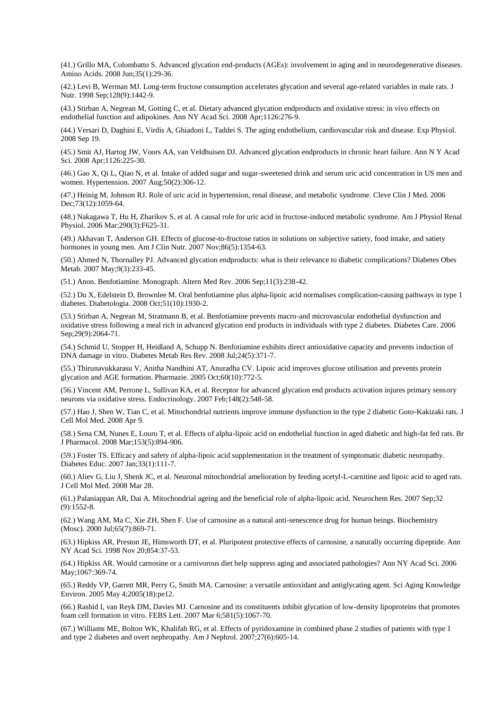(41.) Grillo MA, Colombatto S. Advanced glycation end-products (AGEs): involvement in aging and in neurodegenerative diseases. Amino Acids. 2008 Jun;35(1):29-36.

(42.) Levi B, Werman MJ. Long-term fructose consumption accelerates glycation and several age-related variables in male rats. J Nutr. 1998 Sep;128(9):1442-9.

(43.) Stirban A, Negrean M, Gotting C, et al. Dietary advanced glycation endproducts and oxidative stress: in vivo effects on endothelial function and adipokines. Ann NY Acad Sci. 2008 Apr;1126:276-9.

(44.) Versari D, Daghini E, Virdis A, Ghiadoni L, Taddei S. The aging endothelium, cardiovascular risk and disease. Exp Physiol. 2008 Sep 19.

(45.) Smit AJ, Hartog JW, Voors AA, van Veldhuisen DJ. Advanced glycation endproducts in chronic heart failure. Ann N Y Acad Sci. 2008 Apr;1126:225-30.

(46.) Gao X, Qi L, Qiao N, et al. Intake of added sugar and sugar-sweetened drink and serum uric acid concentration in US men and women. Hypertension. 2007 Aug;50(2):306-12.

(47.) Heinig M, Johnson RJ. Role of uric acid in hypertension, renal disease, and metabolic syndrome. Cleve Clin J Med. 2006 Dec;73(12):1059-64.

(48.) Nakagawa T, Hu H, Zharikov S, et al. A causal role for uric acid in fructose-induced metabolic syndrome. Am J Physiol Renal Physiol. 2006 Mar;290(3):F625-31.

(49.) Akhavan T, Anderson GH. Effects of glucose-to-fructose ratios in solutions on subjective satiety, food intake, and satiety hormones in young men. Am J Clin Nutr. 2007 Nov;86(5):1354-63.

(50.) Ahmed N, Thornalley PJ. Advanced glycation endproducts: what is their relevance to diabetic complications? Diabetes Obes Metab. 2007 May;9(3):233-45.

(51.) Anon. Benfotiamine. Monograph. Altern Med Rev. 2006 Sep;11(3):238-42.

(52.) Du X, Edelstein D, Brownlee M. Oral benfotiamine plus alpha-lipoic acid normalises complication-causing pathways in type 1 diabetes. Diabetologia. 2008 Oct;51(10):1930-2.

(53.) Stirban A, Negrean M, Stratmann B, et al. Benfotiamine prevents macro-and microvascular endothelial dysfunction and oxidative stress following a meal rich in advanced glycation end products in individuals with type 2 diabetes. Diabetes Care. 2006 Sep; 29(9): 2064-71.

(54.) Schmid U, Stopper H, Heidland A, Schupp N. Benfotiamine exhibits direct antioxidative capacity and prevents induction of DNA damage in vitro. Diabetes Metab Res Rev. 2008 Jul;24(5):371-7.

(55.) Thirunavukkarasu V, Anitha Nandhini AT, Anuradha CV. Lipoic acid improves glucose utilisation and prevents protein glycation and AGE formation. Pharmazie. 2005 Oct;60(10):772-5.

(56.) Vincent AM, Perrone L, Sullivan KA, et al. Receptor for advanced glycation end products activation injures primary sensory neurons via oxidative stress. Endocrinology. 2007 Feb;148(2):548-58.

(57.) Hao J, Shen W, Tian C, et al. Mitochondrial nutrients improve immune dysfunction in the type 2 diabetic Goto-Kakizaki rats. J Cell Mol Med. 2008 Apr 9.

(58.) Sena CM, Nunes E, Louro T, et al. Effects of alpha-lipoic acid on endothelial function in aged diabetic and high-fat fed rats. Br J Pharmacol. 2008 Mar;153(5):894-906.

(59.) Foster TS. Efficacy and safety of alpha-lipoic acid supplementation in the treatment of symptomatic diabetic neuropathy. Diabetes Educ. 2007 Jan;33(1):111-7.

(60.) Aliev G, Liu J, Shenk JC, et al. Neuronal mitochondrial amelioration by feeding acetyl-L-carnitine and lipoic acid to aged rats. J Cell Mol Med. 2008 Mar 28.

(61.) Palaniappan AR, Dai A. Mitochondrial ageing and the beneficial role of alpha-lipoic acid. Neurochem Res. 2007 Sep;32 (9):1552-8.

(62.) Wang AM, Ma C, Xie ZH, Shen F. Use of carnosine as a natural anti-senescence drug for human beings. Biochemistry (Mosc). 2000 Jul;65(7):869-71.

(63.) Hipkiss AR, Preston JE, Himsworth DT, et al. Pluripotent protective effects of carnosine, a naturally occurring dipeptide. Ann NY Acad Sci. 1998 Nov 20;854:37-53.

(64.) Hipkiss AR. Would carnosine or a carnivorous diet help suppress aging and associated pathologies? Ann NY Acad Sci. 2006 May;1067:369-74.

(65.) Reddy VP, Garrett MR, Perry G, Smith MA. Carnosine: a versatile antioxidant and antiglycating agent. Sci Aging Knowledge Environ. 2005 May 4;2005(18):pe12.

(66.) Rashid I, van Reyk DM, Davies MJ. Carnosine and its constituents inhibit glycation of low-density lipoproteins that promotes foam cell formation in vitro. FEBS Lett. 2007 Mar 6;581(5):1067-70.

(67.) Williams ME, Bolton WK, Khalifah RG, et al. Effects of pyridoxamine in combined phase 2 studies of patients with type 1 and type 2 diabetes and overt nephropathy. Am J Nephrol. 2007;27(6):605-14.